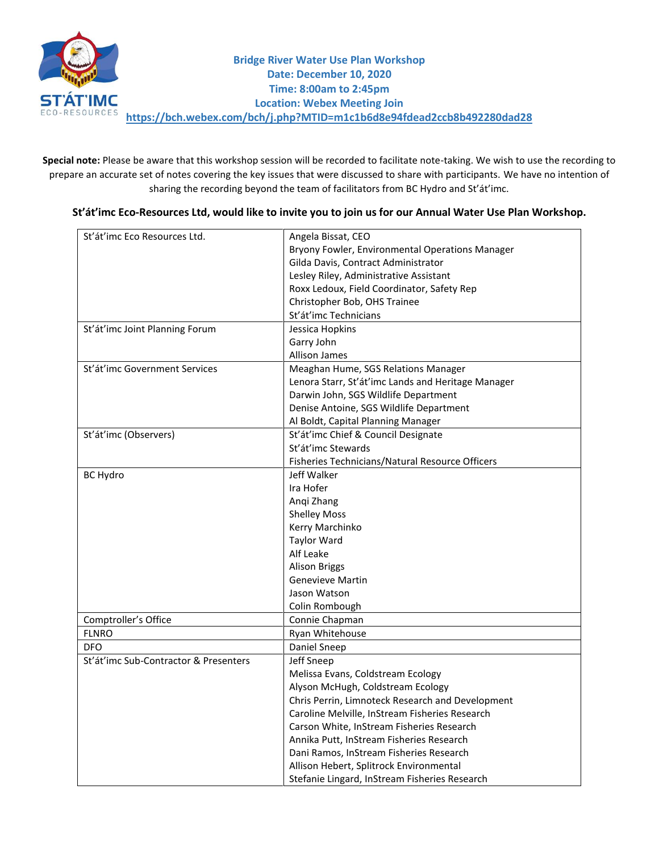

**Special note:** Please be aware that this workshop session will be recorded to facilitate note-taking. We wish to use the recording to prepare an accurate set of notes covering the key issues that were discussed to share with participants. We have no intention of sharing the recording beyond the team of facilitators from BC Hydro and St'át'imc.

## **St'át'imc Eco-Resources Ltd, would like to invite you to join us for our Annual Water Use Plan Workshop.**

| St'át'imc Eco Resources Ltd.          | Angela Bissat, CEO                                 |  |
|---------------------------------------|----------------------------------------------------|--|
|                                       | Bryony Fowler, Environmental Operations Manager    |  |
|                                       | Gilda Davis, Contract Administrator                |  |
|                                       | Lesley Riley, Administrative Assistant             |  |
|                                       | Roxx Ledoux, Field Coordinator, Safety Rep         |  |
|                                       | Christopher Bob, OHS Trainee                       |  |
|                                       | St'át'imc Technicians                              |  |
| St'át'imc Joint Planning Forum        | Jessica Hopkins                                    |  |
|                                       | Garry John                                         |  |
|                                       | Allison James                                      |  |
| St'át'imc Government Services         | Meaghan Hume, SGS Relations Manager                |  |
|                                       | Lenora Starr, St'át'imc Lands and Heritage Manager |  |
|                                       | Darwin John, SGS Wildlife Department               |  |
|                                       | Denise Antoine, SGS Wildlife Department            |  |
|                                       | Al Boldt, Capital Planning Manager                 |  |
| St'át'imc (Observers)                 | St'át'imc Chief & Council Designate                |  |
|                                       | St'át'imc Stewards                                 |  |
|                                       | Fisheries Technicians/Natural Resource Officers    |  |
| <b>BC Hydro</b>                       | Jeff Walker                                        |  |
|                                       | Ira Hofer                                          |  |
|                                       | Angi Zhang                                         |  |
|                                       | <b>Shelley Moss</b>                                |  |
|                                       | Kerry Marchinko                                    |  |
|                                       | <b>Taylor Ward</b>                                 |  |
|                                       | Alf Leake                                          |  |
|                                       | <b>Alison Briggs</b>                               |  |
|                                       | <b>Genevieve Martin</b>                            |  |
|                                       | Jason Watson                                       |  |
|                                       | Colin Rombough                                     |  |
| Comptroller's Office                  | Connie Chapman                                     |  |
| <b>FLNRO</b>                          | Ryan Whitehouse                                    |  |
| <b>DFO</b>                            | Daniel Sneep                                       |  |
| St'át'imc Sub-Contractor & Presenters | Jeff Sneep                                         |  |
|                                       | Melissa Evans, Coldstream Ecology                  |  |
|                                       | Alyson McHugh, Coldstream Ecology                  |  |
|                                       | Chris Perrin, Limnoteck Research and Development   |  |
|                                       | Caroline Melville, InStream Fisheries Research     |  |
|                                       | Carson White, InStream Fisheries Research          |  |
|                                       | Annika Putt, InStream Fisheries Research           |  |
|                                       | Dani Ramos, InStream Fisheries Research            |  |
|                                       | Allison Hebert, Splitrock Environmental            |  |
|                                       | Stefanie Lingard, InStream Fisheries Research      |  |